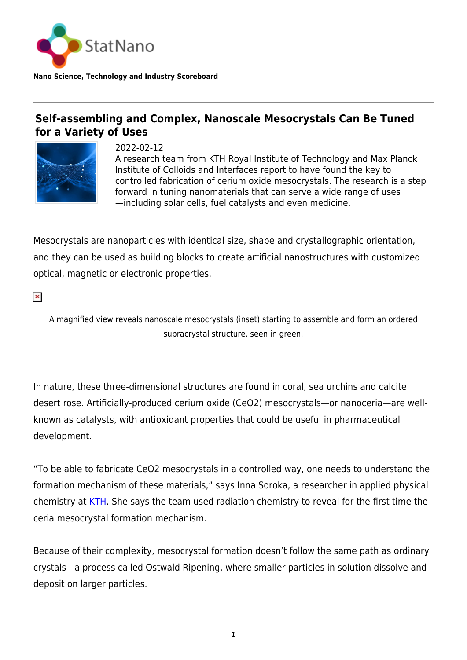

## **Self-assembling and Complex, Nanoscale Mesocrystals Can Be Tuned for a Variety of Uses**



2022-02-12 A research team from KTH Royal Institute of Technology and Max Planck Institute of Colloids and Interfaces report to have found the key to controlled fabrication of cerium oxide mesocrystals. The research is a step forward in tuning nanomaterials that can serve a wide range of uses —including solar cells, fuel catalysts and even medicine.

Mesocrystals are nanoparticles with identical size, shape and crystallographic orientation, and they can be used as building blocks to create artificial nanostructures with customized optical, magnetic or electronic properties.

 $\pmb{\times}$ 

A magnified view reveals nanoscale mesocrystals (inset) starting to assemble and form an ordered supracrystal structure, seen in green.

In nature, these three-dimensional structures are found in coral, sea urchins and calcite desert rose. Artificially-produced cerium oxide (CeO2) mesocrystals—or nanoceria—are wellknown as catalysts, with antioxidant properties that could be useful in pharmaceutical development.

"To be able to fabricate CeO2 mesocrystals in a controlled way, one needs to understand the formation mechanism of these materials," says Inna Soroka, a researcher in applied physical chemistry at [KTH.](https://www.kth.se/) She says the team used radiation chemistry to reveal for the first time the ceria mesocrystal formation mechanism.

Because of their complexity, mesocrystal formation doesn't follow the same path as ordinary crystals—a process called Ostwald Ripening, where smaller particles in solution dissolve and deposit on larger particles.